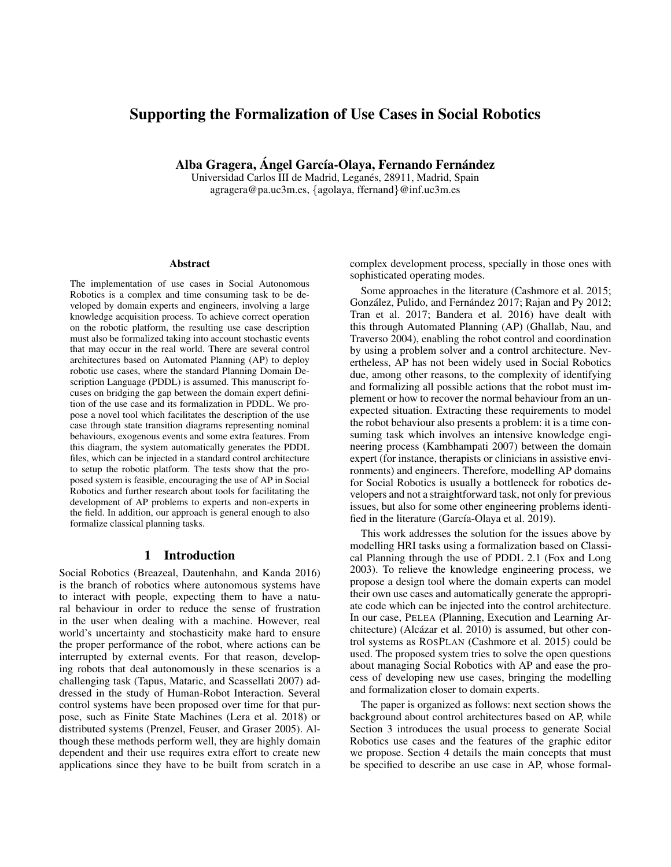# Supporting the Formalization of Use Cases in Social Robotics

Alba Gragera, Ángel García-Olava, Fernando Fernández

Universidad Carlos III de Madrid, Leganes, 28911, Madrid, Spain ´ agragera@pa.uc3m.es, {agolaya, ffernand}@inf.uc3m.es

#### **Abstract**

The implementation of use cases in Social Autonomous Robotics is a complex and time consuming task to be developed by domain experts and engineers, involving a large knowledge acquisition process. To achieve correct operation on the robotic platform, the resulting use case description must also be formalized taking into account stochastic events that may occur in the real world. There are several control architectures based on Automated Planning (AP) to deploy robotic use cases, where the standard Planning Domain Description Language (PDDL) is assumed. This manuscript focuses on bridging the gap between the domain expert definition of the use case and its formalization in PDDL. We propose a novel tool which facilitates the description of the use case through state transition diagrams representing nominal behaviours, exogenous events and some extra features. From this diagram, the system automatically generates the PDDL files, which can be injected in a standard control architecture to setup the robotic platform. The tests show that the proposed system is feasible, encouraging the use of AP in Social Robotics and further research about tools for facilitating the development of AP problems to experts and non-experts in the field. In addition, our approach is general enough to also formalize classical planning tasks.

#### 1 Introduction

Social Robotics (Breazeal, Dautenhahn, and Kanda 2016) is the branch of robotics where autonomous systems have to interact with people, expecting them to have a natural behaviour in order to reduce the sense of frustration in the user when dealing with a machine. However, real world's uncertainty and stochasticity make hard to ensure the proper performance of the robot, where actions can be interrupted by external events. For that reason, developing robots that deal autonomously in these scenarios is a challenging task (Tapus, Mataric, and Scassellati 2007) addressed in the study of Human-Robot Interaction. Several control systems have been proposed over time for that purpose, such as Finite State Machines (Lera et al. 2018) or distributed systems (Prenzel, Feuser, and Graser 2005). Although these methods perform well, they are highly domain dependent and their use requires extra effort to create new applications since they have to be built from scratch in a

complex development process, specially in those ones with sophisticated operating modes.

Some approaches in the literature (Cashmore et al. 2015; González, Pulido, and Fernández 2017; Rajan and Py 2012; Tran et al. 2017; Bandera et al. 2016) have dealt with this through Automated Planning (AP) (Ghallab, Nau, and Traverso 2004), enabling the robot control and coordination by using a problem solver and a control architecture. Nevertheless, AP has not been widely used in Social Robotics due, among other reasons, to the complexity of identifying and formalizing all possible actions that the robot must implement or how to recover the normal behaviour from an unexpected situation. Extracting these requirements to model the robot behaviour also presents a problem: it is a time consuming task which involves an intensive knowledge engineering process (Kambhampati 2007) between the domain expert (for instance, therapists or clinicians in assistive environments) and engineers. Therefore, modelling AP domains for Social Robotics is usually a bottleneck for robotics developers and not a straightforward task, not only for previous issues, but also for some other engineering problems identified in the literature (García-Olaya et al. 2019).

This work addresses the solution for the issues above by modelling HRI tasks using a formalization based on Classical Planning through the use of PDDL 2.1 (Fox and Long 2003). To relieve the knowledge engineering process, we propose a design tool where the domain experts can model their own use cases and automatically generate the appropriate code which can be injected into the control architecture. In our case, PELEA (Planning, Execution and Learning Architecture) (Alcázar et al. 2010) is assumed, but other control systems as ROSPLAN (Cashmore et al. 2015) could be used. The proposed system tries to solve the open questions about managing Social Robotics with AP and ease the process of developing new use cases, bringing the modelling and formalization closer to domain experts.

The paper is organized as follows: next section shows the background about control architectures based on AP, while Section 3 introduces the usual process to generate Social Robotics use cases and the features of the graphic editor we propose. Section 4 details the main concepts that must be specified to describe an use case in AP, whose formal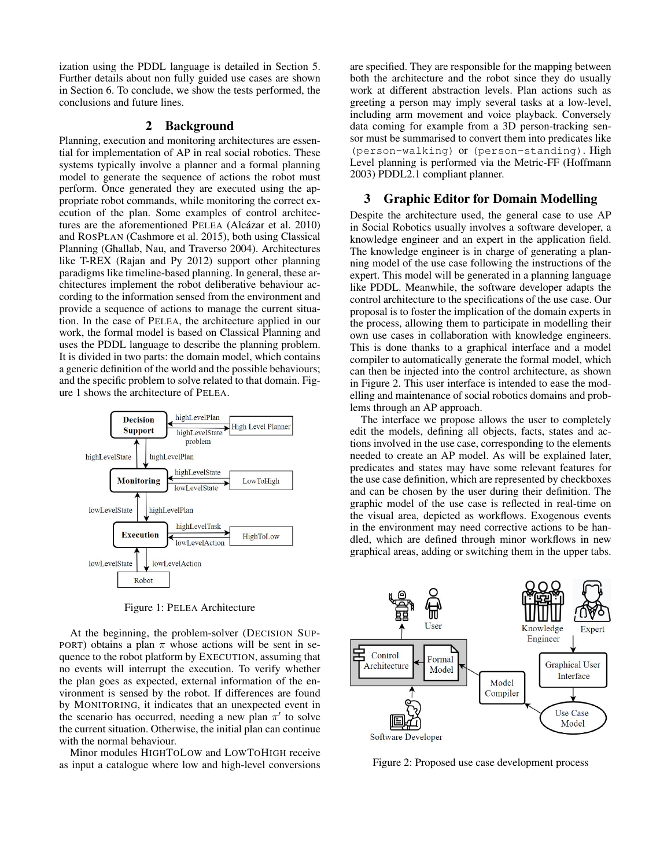ization using the PDDL language is detailed in Section 5. Further details about non fully guided use cases are shown in Section 6. To conclude, we show the tests performed, the conclusions and future lines.

### 2 Background

Planning, execution and monitoring architectures are essential for implementation of AP in real social robotics. These systems typically involve a planner and a formal planning model to generate the sequence of actions the robot must perform. Once generated they are executed using the appropriate robot commands, while monitoring the correct execution of the plan. Some examples of control architectures are the aforementioned PELEA (Alcázar et al. 2010) and ROSPLAN (Cashmore et al. 2015), both using Classical Planning (Ghallab, Nau, and Traverso 2004). Architectures like T-REX (Rajan and Py 2012) support other planning paradigms like timeline-based planning. In general, these architectures implement the robot deliberative behaviour according to the information sensed from the environment and provide a sequence of actions to manage the current situation. In the case of PELEA, the architecture applied in our work, the formal model is based on Classical Planning and uses the PDDL language to describe the planning problem. It is divided in two parts: the domain model, which contains a generic definition of the world and the possible behaviours; and the specific problem to solve related to that domain. Figure 1 shows the architecture of PELEA.



Figure 1: PELEA Architecture

At the beginning, the problem-solver (DECISION SUP-PORT) obtains a plan  $\pi$  whose actions will be sent in sequence to the robot platform by EXECUTION, assuming that no events will interrupt the execution. To verify whether the plan goes as expected, external information of the environment is sensed by the robot. If differences are found by MONITORING, it indicates that an unexpected event in the scenario has occurred, needing a new plan  $\pi'$  to solve the current situation. Otherwise, the initial plan can continue with the normal behaviour.

Minor modules HIGHTOLOW and LOWTOHIGH receive as input a catalogue where low and high-level conversions

are specified. They are responsible for the mapping between both the architecture and the robot since they do usually work at different abstraction levels. Plan actions such as greeting a person may imply several tasks at a low-level, including arm movement and voice playback. Conversely data coming for example from a 3D person-tracking sensor must be summarised to convert them into predicates like (person-walking) or (person-standing). High Level planning is performed via the Metric-FF (Hoffmann 2003) PDDL2.1 compliant planner.

### 3 Graphic Editor for Domain Modelling

Despite the architecture used, the general case to use AP in Social Robotics usually involves a software developer, a knowledge engineer and an expert in the application field. The knowledge engineer is in charge of generating a planning model of the use case following the instructions of the expert. This model will be generated in a planning language like PDDL. Meanwhile, the software developer adapts the control architecture to the specifications of the use case. Our proposal is to foster the implication of the domain experts in the process, allowing them to participate in modelling their own use cases in collaboration with knowledge engineers. This is done thanks to a graphical interface and a model compiler to automatically generate the formal model, which can then be injected into the control architecture, as shown in Figure 2. This user interface is intended to ease the modelling and maintenance of social robotics domains and problems through an AP approach.

The interface we propose allows the user to completely edit the models, defining all objects, facts, states and actions involved in the use case, corresponding to the elements needed to create an AP model. As will be explained later, predicates and states may have some relevant features for the use case definition, which are represented by checkboxes and can be chosen by the user during their definition. The graphic model of the use case is reflected in real-time on the visual area, depicted as workflows. Exogenous events in the environment may need corrective actions to be handled, which are defined through minor workflows in new graphical areas, adding or switching them in the upper tabs.



Figure 2: Proposed use case development process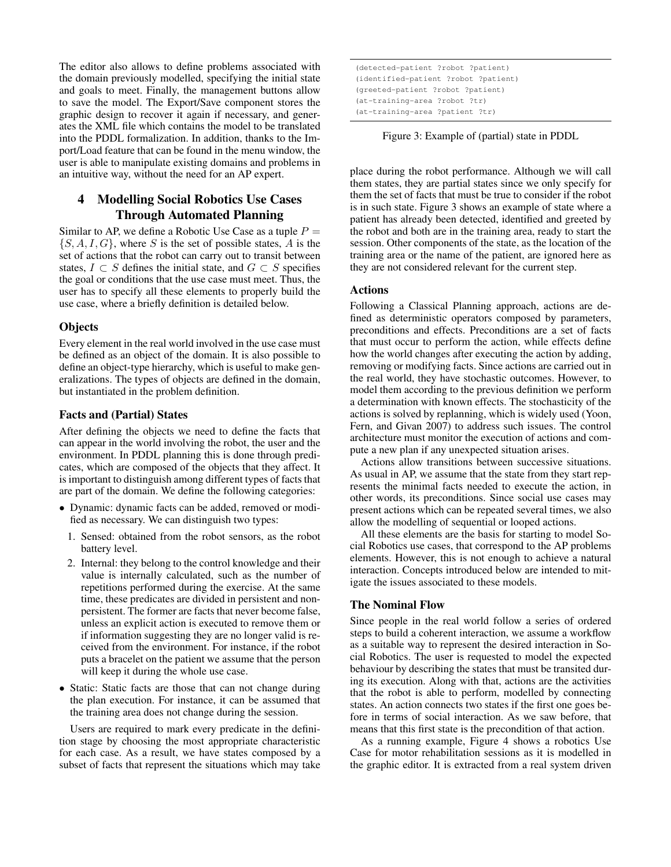The editor also allows to define problems associated with the domain previously modelled, specifying the initial state and goals to meet. Finally, the management buttons allow to save the model. The Export/Save component stores the graphic design to recover it again if necessary, and generates the XML file which contains the model to be translated into the PDDL formalization. In addition, thanks to the Import/Load feature that can be found in the menu window, the user is able to manipulate existing domains and problems in an intuitive way, without the need for an AP expert.

## 4 Modelling Social Robotics Use Cases Through Automated Planning

Similar to AP, we define a Robotic Use Case as a tuple  $P =$  $\{S, A, I, G\}$ , where S is the set of possible states, A is the set of actions that the robot can carry out to transit between states,  $I \subset S$  defines the initial state, and  $G \subset S$  specifies the goal or conditions that the use case must meet. Thus, the user has to specify all these elements to properly build the use case, where a briefly definition is detailed below.

#### **Objects**

Every element in the real world involved in the use case must be defined as an object of the domain. It is also possible to define an object-type hierarchy, which is useful to make generalizations. The types of objects are defined in the domain, but instantiated in the problem definition.

### Facts and (Partial) States

After defining the objects we need to define the facts that can appear in the world involving the robot, the user and the environment. In PDDL planning this is done through predicates, which are composed of the objects that they affect. It is important to distinguish among different types of facts that are part of the domain. We define the following categories:

- Dynamic: dynamic facts can be added, removed or modified as necessary. We can distinguish two types:
	- 1. Sensed: obtained from the robot sensors, as the robot battery level.
	- 2. Internal: they belong to the control knowledge and their value is internally calculated, such as the number of repetitions performed during the exercise. At the same time, these predicates are divided in persistent and nonpersistent. The former are facts that never become false, unless an explicit action is executed to remove them or if information suggesting they are no longer valid is received from the environment. For instance, if the robot puts a bracelet on the patient we assume that the person will keep it during the whole use case.
- Static: Static facts are those that can not change during the plan execution. For instance, it can be assumed that the training area does not change during the session.

Users are required to mark every predicate in the definition stage by choosing the most appropriate characteristic for each case. As a result, we have states composed by a subset of facts that represent the situations which may take

| (detected-patient ?robot ?patient)   |  |
|--------------------------------------|--|
| (identified-patient ?robot ?patient) |  |
| (greeted-patient ?robot ?patient)    |  |
| (at-training-area ?robot ?tr)        |  |
| (at-training-area ?patient ?tr)      |  |

Figure 3: Example of (partial) state in PDDL

place during the robot performance. Although we will call them states, they are partial states since we only specify for them the set of facts that must be true to consider if the robot is in such state. Figure 3 shows an example of state where a patient has already been detected, identified and greeted by the robot and both are in the training area, ready to start the session. Other components of the state, as the location of the training area or the name of the patient, are ignored here as they are not considered relevant for the current step.

### Actions

Following a Classical Planning approach, actions are defined as deterministic operators composed by parameters, preconditions and effects. Preconditions are a set of facts that must occur to perform the action, while effects define how the world changes after executing the action by adding, removing or modifying facts. Since actions are carried out in the real world, they have stochastic outcomes. However, to model them according to the previous definition we perform a determination with known effects. The stochasticity of the actions is solved by replanning, which is widely used (Yoon, Fern, and Givan 2007) to address such issues. The control architecture must monitor the execution of actions and compute a new plan if any unexpected situation arises.

Actions allow transitions between successive situations. As usual in AP, we assume that the state from they start represents the minimal facts needed to execute the action, in other words, its preconditions. Since social use cases may present actions which can be repeated several times, we also allow the modelling of sequential or looped actions.

All these elements are the basis for starting to model Social Robotics use cases, that correspond to the AP problems elements. However, this is not enough to achieve a natural interaction. Concepts introduced below are intended to mitigate the issues associated to these models.

## The Nominal Flow

Since people in the real world follow a series of ordered steps to build a coherent interaction, we assume a workflow as a suitable way to represent the desired interaction in Social Robotics. The user is requested to model the expected behaviour by describing the states that must be transited during its execution. Along with that, actions are the activities that the robot is able to perform, modelled by connecting states. An action connects two states if the first one goes before in terms of social interaction. As we saw before, that means that this first state is the precondition of that action.

As a running example, Figure 4 shows a robotics Use Case for motor rehabilitation sessions as it is modelled in the graphic editor. It is extracted from a real system driven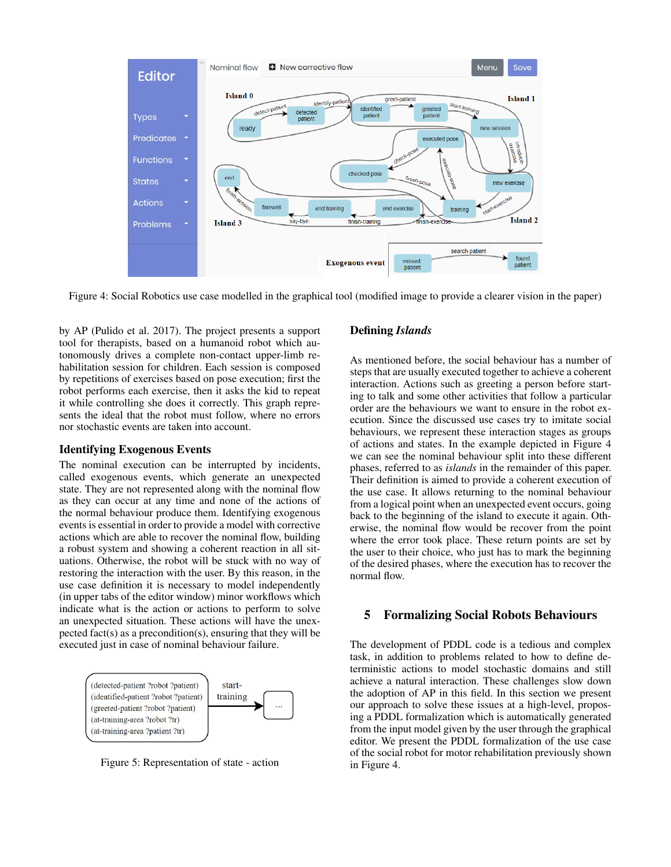

Figure 4: Social Robotics use case modelled in the graphical tool (modified image to provide a clearer vision in the paper)

by AP (Pulido et al. 2017). The project presents a support tool for therapists, based on a humanoid robot which autonomously drives a complete non-contact upper-limb rehabilitation session for children. Each session is composed by repetitions of exercises based on pose execution; first the robot performs each exercise, then it asks the kid to repeat it while controlling she does it correctly. This graph represents the ideal that the robot must follow, where no errors nor stochastic events are taken into account.

#### Identifying Exogenous Events

The nominal execution can be interrupted by incidents, called exogenous events, which generate an unexpected state. They are not represented along with the nominal flow as they can occur at any time and none of the actions of the normal behaviour produce them. Identifying exogenous events is essential in order to provide a model with corrective actions which are able to recover the nominal flow, building a robust system and showing a coherent reaction in all situations. Otherwise, the robot will be stuck with no way of restoring the interaction with the user. By this reason, in the use case definition it is necessary to model independently (in upper tabs of the editor window) minor workflows which indicate what is the action or actions to perform to solve an unexpected situation. These actions will have the unexpected fact(s) as a precondition(s), ensuring that they will be executed just in case of nominal behaviour failure.



Figure 5: Representation of state - action

## Defining *Islands*

As mentioned before, the social behaviour has a number of steps that are usually executed together to achieve a coherent interaction. Actions such as greeting a person before starting to talk and some other activities that follow a particular order are the behaviours we want to ensure in the robot execution. Since the discussed use cases try to imitate social behaviours, we represent these interaction stages as groups of actions and states. In the example depicted in Figure 4 we can see the nominal behaviour split into these different phases, referred to as *islands* in the remainder of this paper. Their definition is aimed to provide a coherent execution of the use case. It allows returning to the nominal behaviour from a logical point when an unexpected event occurs, going back to the beginning of the island to execute it again. Otherwise, the nominal flow would be recover from the point where the error took place. These return points are set by the user to their choice, who just has to mark the beginning of the desired phases, where the execution has to recover the normal flow.

### 5 Formalizing Social Robots Behaviours

The development of PDDL code is a tedious and complex task, in addition to problems related to how to define deterministic actions to model stochastic domains and still achieve a natural interaction. These challenges slow down the adoption of AP in this field. In this section we present our approach to solve these issues at a high-level, proposing a PDDL formalization which is automatically generated from the input model given by the user through the graphical editor. We present the PDDL formalization of the use case of the social robot for motor rehabilitation previously shown in Figure 4.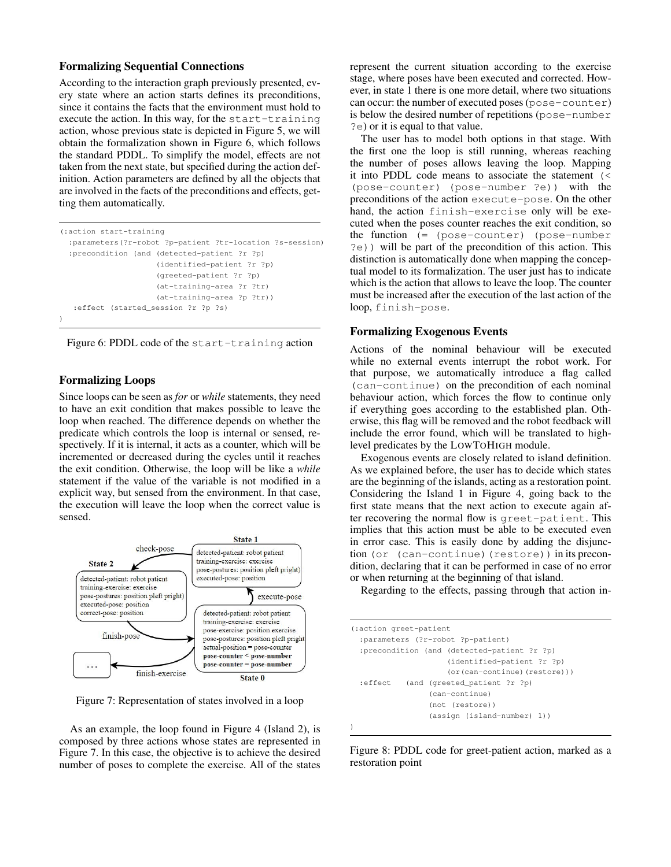### Formalizing Sequential Connections

According to the interaction graph previously presented, every state where an action starts defines its preconditions, since it contains the facts that the environment must hold to execute the action. In this way, for the start-training action, whose previous state is depicted in Figure 5, we will obtain the formalization shown in Figure 6, which follows the standard PDDL. To simplify the model, effects are not taken from the next state, but specified during the action definition. Action parameters are defined by all the objects that are involved in the facts of the preconditions and effects, getting them automatically.

| (:action start-training)                                 |
|----------------------------------------------------------|
| :parameters(?r-robot ?p-patient ?tr-location ?s-session) |
| :precondition (and (detected-patient ?r ?p)              |
| (identified-patient ?r ?p)                               |
| (greeted-patient ?r ?p)                                  |
| (at-training-area ?r ?tr)                                |
| (at-training-area ?p ?tr))                               |
| effect (started session ?r ?p ?s):                       |
|                                                          |

Figure 6: PDDL code of the start-training action

#### Formalizing Loops

Since loops can be seen as *for* or *while* statements, they need to have an exit condition that makes possible to leave the loop when reached. The difference depends on whether the predicate which controls the loop is internal or sensed, respectively. If it is internal, it acts as a counter, which will be incremented or decreased during the cycles until it reaches the exit condition. Otherwise, the loop will be like a *while* statement if the value of the variable is not modified in a explicit way, but sensed from the environment. In that case, the execution will leave the loop when the correct value is sensed.



Figure 7: Representation of states involved in a loop

As an example, the loop found in Figure 4 (Island 2), is composed by three actions whose states are represented in Figure 7. In this case, the objective is to achieve the desired number of poses to complete the exercise. All of the states represent the current situation according to the exercise stage, where poses have been executed and corrected. However, in state 1 there is one more detail, where two situations can occur: the number of executed poses (pose-counter) is below the desired number of repetitions (pose-number ?e) or it is equal to that value.

The user has to model both options in that stage. With the first one the loop is still running, whereas reaching the number of poses allows leaving the loop. Mapping it into PDDL code means to associate the statement (< (pose-counter) (pose-number ?e)) with the preconditions of the action execute-pose. On the other hand, the action finish-exercise only will be executed when the poses counter reaches the exit condition, so the function (= (pose-counter) (pose-number ?e)) will be part of the precondition of this action. This distinction is automatically done when mapping the conceptual model to its formalization. The user just has to indicate which is the action that allows to leave the loop. The counter must be increased after the execution of the last action of the loop, finish-pose.

#### Formalizing Exogenous Events

Actions of the nominal behaviour will be executed while no external events interrupt the robot work. For that purpose, we automatically introduce a flag called (can-continue) on the precondition of each nominal behaviour action, which forces the flow to continue only if everything goes according to the established plan. Otherwise, this flag will be removed and the robot feedback will include the error found, which will be translated to highlevel predicates by the LOWTOHIGH module.

Exogenous events are closely related to island definition. As we explained before, the user has to decide which states are the beginning of the islands, acting as a restoration point. Considering the Island 1 in Figure 4, going back to the first state means that the next action to execute again after recovering the normal flow is greet-patient. This implies that this action must be able to be executed even in error case. This is easily done by adding the disjunction (or (can-continue)(restore)) in its precondition, declaring that it can be performed in case of no error or when returning at the beginning of that island.

Regarding to the effects, passing through that action in-

| (:action greet-patient)<br>:parameters (?r-robot ?p-patient) |  |
|--------------------------------------------------------------|--|
| :precondition (and (detected-patient ?r ?p)                  |  |
| (identified-patient ?r ?p)                                   |  |
| $(or (can-continue) (restore))$                              |  |
| :effect<br>(and (greeted_patient ?r ?p)                      |  |
| (can-continue)                                               |  |
| (not (restore))                                              |  |
| (assign (island-number) 1))                                  |  |
|                                                              |  |

Figure 8: PDDL code for greet-patient action, marked as a restoration point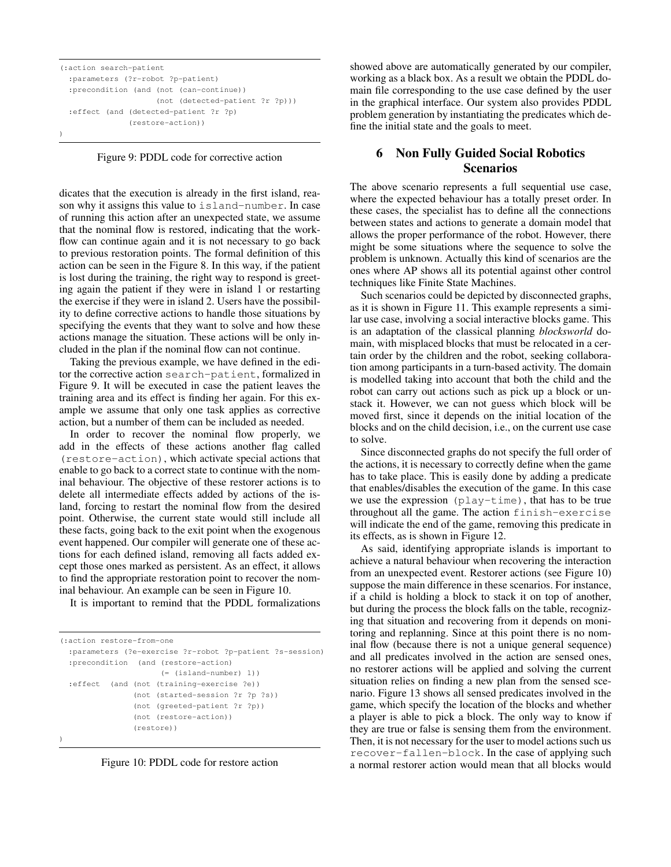```
(:action search-patient
 :parameters (?r-robot ?p-patient)
 :precondition (and (not (can-continue))
                    (not (detected-patient ?r ?p)))
 :effect (and (detected-patient ?r ?p)
              (restore-action))
)
```
Figure 9: PDDL code for corrective action

dicates that the execution is already in the first island, reason why it assigns this value to island-number. In case of running this action after an unexpected state, we assume that the nominal flow is restored, indicating that the workflow can continue again and it is not necessary to go back to previous restoration points. The formal definition of this action can be seen in the Figure 8. In this way, if the patient is lost during the training, the right way to respond is greeting again the patient if they were in island 1 or restarting the exercise if they were in island 2. Users have the possibility to define corrective actions to handle those situations by specifying the events that they want to solve and how these actions manage the situation. These actions will be only included in the plan if the nominal flow can not continue.

Taking the previous example, we have defined in the editor the corrective action search-patient, formalized in Figure 9. It will be executed in case the patient leaves the training area and its effect is finding her again. For this example we assume that only one task applies as corrective action, but a number of them can be included as needed.

In order to recover the nominal flow properly, we add in the effects of these actions another flag called (restore-action), which activate special actions that enable to go back to a correct state to continue with the nominal behaviour. The objective of these restorer actions is to delete all intermediate effects added by actions of the island, forcing to restart the nominal flow from the desired point. Otherwise, the current state would still include all these facts, going back to the exit point when the exogenous event happened. Our compiler will generate one of these actions for each defined island, removing all facts added except those ones marked as persistent. As an effect, it allows to find the appropriate restoration point to recover the nominal behaviour. An example can be seen in Figure 10.

It is important to remind that the PDDL formalizations

```
(:action restore-from-one
 :parameters (?e-exercise ?r-robot ?p-patient ?s-session)
 :precondition (and (restore-action)
                      (= (island-number) 1))
 :effect (and (not (training-exercise ?e))
                (not (started-session ?r ?p ?s))
                (not (greeted-patient ?r ?p))
                (not (restore-action))
                (restore))
)
```
Figure 10: PDDL code for restore action

showed above are automatically generated by our compiler, working as a black box. As a result we obtain the PDDL domain file corresponding to the use case defined by the user in the graphical interface. Our system also provides PDDL problem generation by instantiating the predicates which define the initial state and the goals to meet.

# 6 Non Fully Guided Social Robotics Scenarios

The above scenario represents a full sequential use case, where the expected behaviour has a totally preset order. In these cases, the specialist has to define all the connections between states and actions to generate a domain model that allows the proper performance of the robot. However, there might be some situations where the sequence to solve the problem is unknown. Actually this kind of scenarios are the ones where AP shows all its potential against other control techniques like Finite State Machines.

Such scenarios could be depicted by disconnected graphs, as it is shown in Figure 11. This example represents a similar use case, involving a social interactive blocks game. This is an adaptation of the classical planning *blocksworld* domain, with misplaced blocks that must be relocated in a certain order by the children and the robot, seeking collaboration among participants in a turn-based activity. The domain is modelled taking into account that both the child and the robot can carry out actions such as pick up a block or unstack it. However, we can not guess which block will be moved first, since it depends on the initial location of the blocks and on the child decision, i.e., on the current use case to solve.

Since disconnected graphs do not specify the full order of the actions, it is necessary to correctly define when the game has to take place. This is easily done by adding a predicate that enables/disables the execution of the game. In this case we use the expression (play-time), that has to be true throughout all the game. The action finish-exercise will indicate the end of the game, removing this predicate in its effects, as is shown in Figure 12.

As said, identifying appropriate islands is important to achieve a natural behaviour when recovering the interaction from an unexpected event. Restorer actions (see Figure 10) suppose the main difference in these scenarios. For instance, if a child is holding a block to stack it on top of another, but during the process the block falls on the table, recognizing that situation and recovering from it depends on monitoring and replanning. Since at this point there is no nominal flow (because there is not a unique general sequence) and all predicates involved in the action are sensed ones, no restorer actions will be applied and solving the current situation relies on finding a new plan from the sensed scenario. Figure 13 shows all sensed predicates involved in the game, which specify the location of the blocks and whether a player is able to pick a block. The only way to know if they are true or false is sensing them from the environment. Then, it is not necessary for the user to model actions such us recover-fallen-block. In the case of applying such a normal restorer action would mean that all blocks would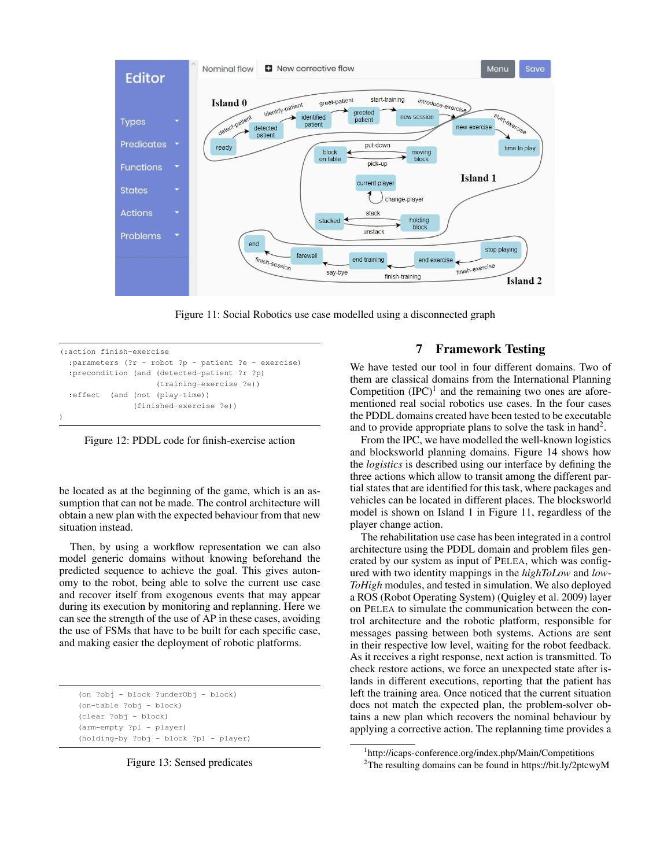

Figure 11: Social Robotics use case modelled using a disconnected graph

```
(:action finish-exercise
 :parameters (?r - robot ?p - patient ?e - exercise)
 :precondition (and (detected-patient ?r ?p)
                     (training-exercise ?e))
 :effect (and (not (play-time))
                (finished-exercise ?e))
)
```
Figure 12: PDDL code for finish-exercise action

be located as at the beginning of the game, which is an assumption that can not be made. The control architecture will obtain a new plan with the expected behaviour from that new situation instead.

Then, by using a workflow representation we can also model generic domains without knowing beforehand the predicted sequence to achieve the goal. This gives autonomy to the robot, being able to solve the current use case and recover itself from exogenous events that may appear during its execution by monitoring and replanning. Here we can see the strength of the use of AP in these cases, avoiding the use of FSMs that have to be built for each specific case, and making easier the deployment of robotic platforms.

```
(on ?obj - block ?underObj - block)
(on-table ?obj - block)
(clear ?obj - block)
(arm-empty ?pl - player)
(holding-by ?obj - block ?pl - player)
```
Figure 13: Sensed predicates

#### 7 Framework Testing

We have tested our tool in four different domains. Two of them are classical domains from the International Planning Competition  $(IPC)^1$  and the remaining two ones are aforementioned real social robotics use cases. In the four cases the PDDL domains created have been tested to be executable and to provide appropriate plans to solve the task in hand<sup>2</sup>.

From the IPC, we have modelled the well-known logistics and blocksworld planning domains. Figure 14 shows how the *logistics* is described using our interface by defining the three actions which allow to transit among the different partial states that are identified for this task, where packages and vehicles can be located in different places. The blocksworld model is shown on Island 1 in Figure 11, regardless of the player change action.

The rehabilitation use case has been integrated in a control architecture using the PDDL domain and problem files generated by our system as input of PELEA, which was configured with two identity mappings in the *highToLow* and *low-ToHigh* modules, and tested in simulation. We also deployed a ROS (Robot Operating System) (Quigley et al. 2009) layer on PELEA to simulate the communication between the control architecture and the robotic platform, responsible for messages passing between both systems. Actions are sent in their respective low level, waiting for the robot feedback. As it receives a right response, next action is transmitted. To check restore actions, we force an unexpected state after islands in different executions, reporting that the patient has left the training area. Once noticed that the current situation does not match the expected plan, the problem-solver obtains a new plan which recovers the nominal behaviour by applying a corrective action. The replanning time provides a

<sup>2</sup>The resulting domains can be found in https://bit.ly/2ptcwyM

<sup>1</sup> http://icaps-conference.org/index.php/Main/Competitions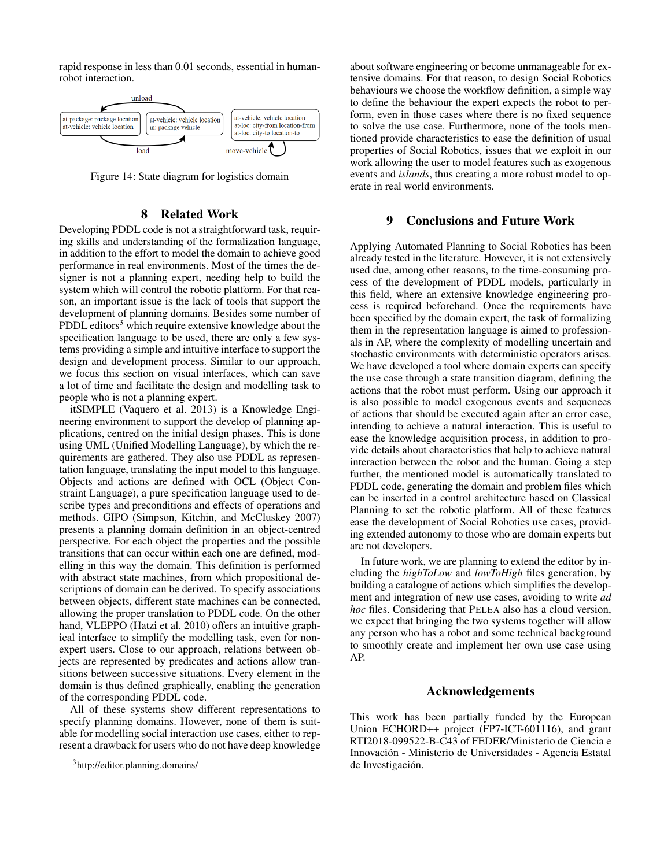rapid response in less than 0.01 seconds, essential in humanrobot interaction.



Figure 14: State diagram for logistics domain

#### 8 Related Work

Developing PDDL code is not a straightforward task, requiring skills and understanding of the formalization language, in addition to the effort to model the domain to achieve good performance in real environments. Most of the times the designer is not a planning expert, needing help to build the system which will control the robotic platform. For that reason, an important issue is the lack of tools that support the development of planning domains. Besides some number of PDDL editors<sup>3</sup> which require extensive knowledge about the specification language to be used, there are only a few systems providing a simple and intuitive interface to support the design and development process. Similar to our approach, we focus this section on visual interfaces, which can save a lot of time and facilitate the design and modelling task to people who is not a planning expert.

itSIMPLE (Vaquero et al. 2013) is a Knowledge Engineering environment to support the develop of planning applications, centred on the initial design phases. This is done using UML (Unified Modelling Language), by which the requirements are gathered. They also use PDDL as representation language, translating the input model to this language. Objects and actions are defined with OCL (Object Constraint Language), a pure specification language used to describe types and preconditions and effects of operations and methods. GIPO (Simpson, Kitchin, and McCluskey 2007) presents a planning domain definition in an object-centred perspective. For each object the properties and the possible transitions that can occur within each one are defined, modelling in this way the domain. This definition is performed with abstract state machines, from which propositional descriptions of domain can be derived. To specify associations between objects, different state machines can be connected, allowing the proper translation to PDDL code. On the other hand, VLEPPO (Hatzi et al. 2010) offers an intuitive graphical interface to simplify the modelling task, even for nonexpert users. Close to our approach, relations between objects are represented by predicates and actions allow transitions between successive situations. Every element in the domain is thus defined graphically, enabling the generation of the corresponding PDDL code.

All of these systems show different representations to specify planning domains. However, none of them is suitable for modelling social interaction use cases, either to represent a drawback for users who do not have deep knowledge

about software engineering or become unmanageable for extensive domains. For that reason, to design Social Robotics behaviours we choose the workflow definition, a simple way to define the behaviour the expert expects the robot to perform, even in those cases where there is no fixed sequence to solve the use case. Furthermore, none of the tools mentioned provide characteristics to ease the definition of usual properties of Social Robotics, issues that we exploit in our work allowing the user to model features such as exogenous events and *islands*, thus creating a more robust model to operate in real world environments.

#### 9 Conclusions and Future Work

Applying Automated Planning to Social Robotics has been already tested in the literature. However, it is not extensively used due, among other reasons, to the time-consuming process of the development of PDDL models, particularly in this field, where an extensive knowledge engineering process is required beforehand. Once the requirements have been specified by the domain expert, the task of formalizing them in the representation language is aimed to professionals in AP, where the complexity of modelling uncertain and stochastic environments with deterministic operators arises. We have developed a tool where domain experts can specify the use case through a state transition diagram, defining the actions that the robot must perform. Using our approach it is also possible to model exogenous events and sequences of actions that should be executed again after an error case, intending to achieve a natural interaction. This is useful to ease the knowledge acquisition process, in addition to provide details about characteristics that help to achieve natural interaction between the robot and the human. Going a step further, the mentioned model is automatically translated to PDDL code, generating the domain and problem files which can be inserted in a control architecture based on Classical Planning to set the robotic platform. All of these features ease the development of Social Robotics use cases, providing extended autonomy to those who are domain experts but are not developers.

In future work, we are planning to extend the editor by including the *highToLow* and *lowToHigh* files generation, by building a catalogue of actions which simplifies the development and integration of new use cases, avoiding to write *ad hoc* files. Considering that PELEA also has a cloud version, we expect that bringing the two systems together will allow any person who has a robot and some technical background to smoothly create and implement her own use case using AP.

### Acknowledgements

This work has been partially funded by the European Union ECHORD++ project (FP7-ICT-601116), and grant RTI2018-099522-B-C43 of FEDER/Ministerio de Ciencia e Innovacion - Ministerio de Universidades - Agencia Estatal ´ de Investigación.

<sup>3</sup> http://editor.planning.domains/